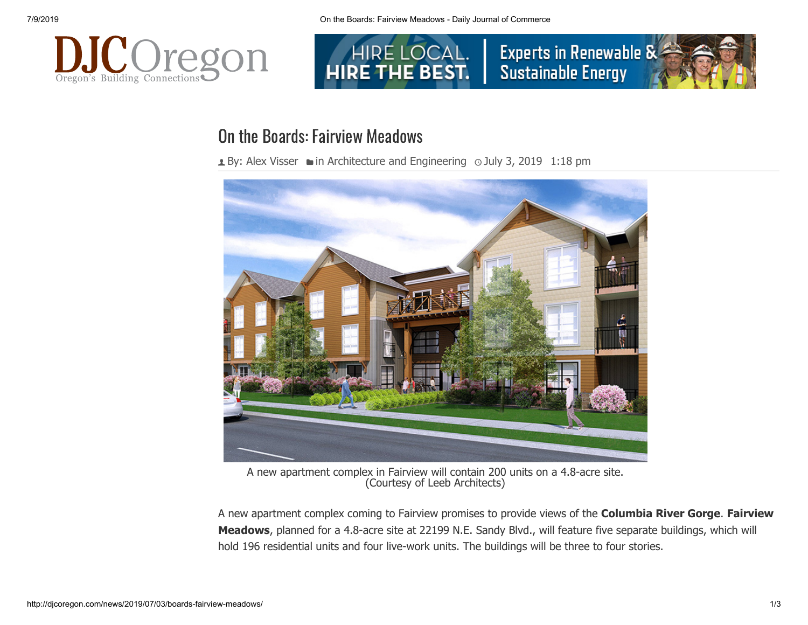



## On the Boards: Fairview Meadows

**± By: [Alex Visser](http://djcoregon.com/news/author/avisser/) • in [Architecture and Engineering](http://djcoregon.com/news/category/news/architecture-and-engineering/) 
o July 3, 2019 1:18 pm** 



A new apartment complex in Fairview will contain 200 units on a 4.8-acre site. (Courtesy of Leeb Architects)

A new apartment complex coming to Fairview promises to provide views of the **Columbia River Gorge**. **Fairview Meadows**, planned for a 4.8-acre site at 22199 N.E. Sandy Blvd., will feature five separate buildings, which will hold 196 residential units and four live-work units. The buildings will be three to four stories.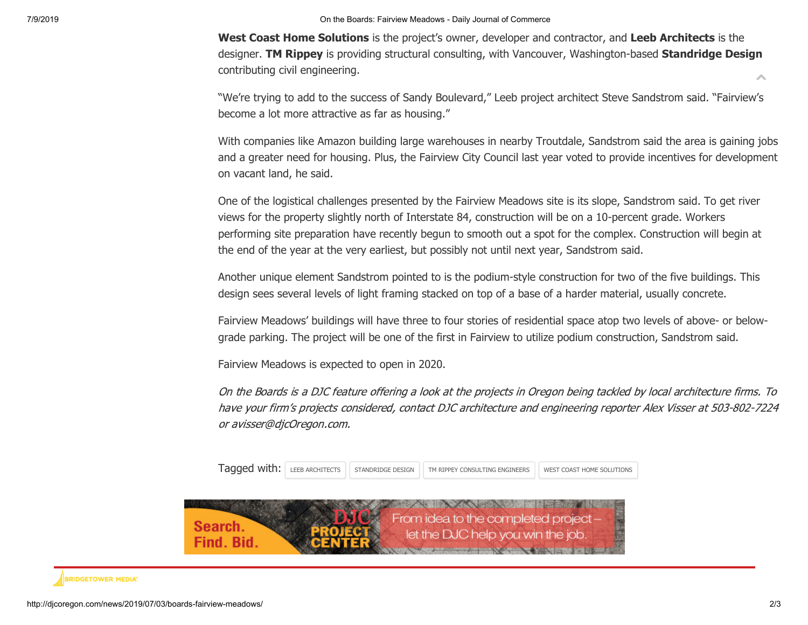7/9/2019 On the Boards: Fairview Meadows - Daily Journal of Commerce

**West Coast Home Solutions** is the project's owner, developer and contractor, and **Leeb Architects** is the designer. **TM Rippey** is providing structural consulting, with Vancouver, Washington-based **Standridge Design** contributing civil engineering. Ä

"We're trying to add to the success of Sandy Boulevard," Leeb project architect Steve Sandstrom said. "Fairview's become a lot more attractive as far as housing."

With companies like Amazon building large warehouses in nearby Troutdale, Sandstrom said the area is gaining jobs and a greater need for housing. Plus, the Fairview City Council last year voted to provide incentives for development on vacant land, he said.

One of the logistical challenges presented by the Fairview Meadows site is its slope, Sandstrom said. To get river views for the property slightly north of Interstate 84, construction will be on a 10-percent grade. Workers performing site preparation have recently begun to smooth out a spot for the complex. Construction will begin at the end of the year at the very earliest, but possibly not until next year, Sandstrom said.

Another unique element Sandstrom pointed to is the podium-style construction for two of the five buildings. This design sees several levels of light framing stacked on top of a base of a harder material, usually concrete.

Fairview Meadows' buildings will have three to four stories of residential space atop two levels of above- or belowgrade parking. The project will be one of the first in Fairview to utilize podium construction, Sandstrom said.

Fairview Meadows is expected to open in 2020.

On the Boards is a DJC feature offering a look at the projects in Oregon being tackled by local architecture firms. To have your firm's projects considered, contact DJC architecture and engineering reporter Alex Visser at 503-802-7224 or avisser@djcOregon.com.

|  |  |  | Tagged with: LEEB ARCHITECTS STANDRIDGE DESIGN TM RIPPEY CONSULTING ENGINEERS |  | WEST COAST HOME SOLUTIONS |
|--|--|--|-------------------------------------------------------------------------------|--|---------------------------|
|--|--|--|-------------------------------------------------------------------------------|--|---------------------------|



## **BRIDGETOWER MEDIAT**